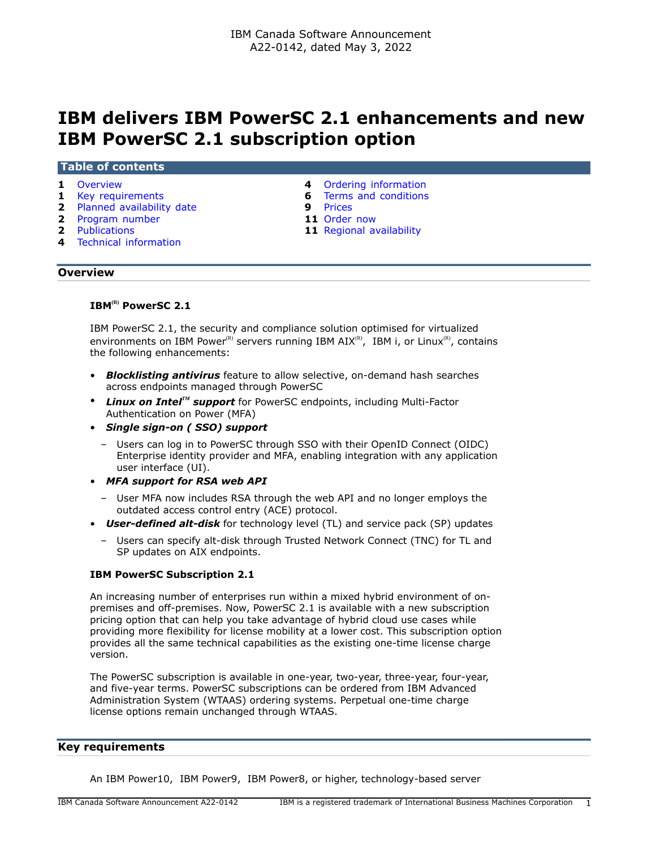# **IBM delivers IBM PowerSC 2.1 enhancements and new IBM PowerSC 2.1 subscription option**

#### **Table of contents**

- 
- 
- **2** [Planned availability date](#page-1-0) **9** [Prices](#page-8-0)
- **2** [Program number](#page-1-1) **11** [Order now](#page-10-0)<br> **2** Publications **11** Regional ave
- 
- **4** [Technical information](#page-3-1)
- **1** [Overview](#page-0-0) **4** [Ordering information](#page-3-0)
- **1** [Key requirements](#page-0-1) **6** [Terms and conditions](#page-5-0)
	-
	-
	- **11** [Regional availability](#page-10-1)

#### <span id="page-0-0"></span>**Overview**

# **IBM(R) PowerSC 2.1**

IBM PowerSC 2.1, the security and compliance solution optimised for virtualized environments on IBM Power<sup>(R)</sup> servers running IBM  $AIX^{(R)}$ , IBM i, or Linux<sup>(R)</sup>, contains the following enhancements:

- *Blocklisting antivirus* feature to allow selective, on-demand hash searches across endpoints managed through PowerSC
- *Linux on IntelTM support* for PowerSC endpoints, including Multi-Factor Authentication on Power (MFA)
- *Single sign-on ( SSO) support*
	- Users can log in to PowerSC through SSO with their OpenID Connect (OIDC) Enterprise identity provider and MFA, enabling integration with any application user interface (UI).
- *MFA support for RSA web API*
	- User MFA now includes RSA through the web API and no longer employs the outdated access control entry (ACE) protocol.
- *User-defined alt-disk* for technology level (TL) and service pack (SP) updates
	- Users can specify alt-disk through Trusted Network Connect (TNC) for TL and SP updates on AIX endpoints.

#### **IBM PowerSC Subscription 2.1**

An increasing number of enterprises run within a mixed hybrid environment of onpremises and off-premises. Now, PowerSC 2.1 is available with a new subscription pricing option that can help you take advantage of hybrid cloud use cases while providing more flexibility for license mobility at a lower cost. This subscription option provides all the same technical capabilities as the existing one-time license charge version.

The PowerSC subscription is available in one-year, two-year, three-year, four-year, and five-year terms. PowerSC subscriptions can be ordered from IBM Advanced Administration System (WTAAS) ordering systems. Perpetual one-time charge license options remain unchanged through WTAAS.

#### <span id="page-0-1"></span>**Key requirements**

An IBM Power10, IBM Power9, IBM Power8, or higher, technology-based server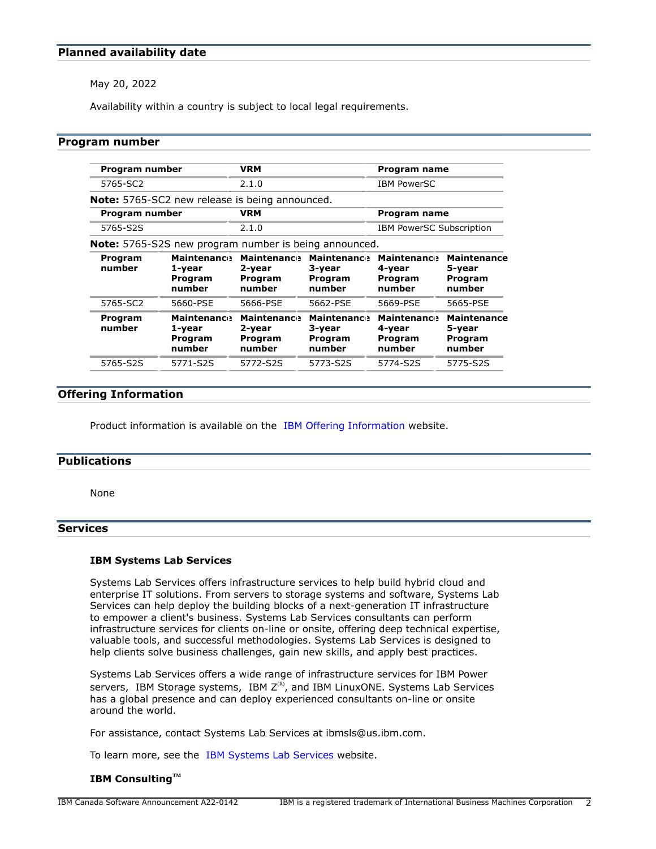## <span id="page-1-0"></span>**Planned availability date**

May 20, 2022

Availability within a country is subject to local legal requirements.

## <span id="page-1-1"></span>**Program number**

| Program number    |                                                              | <b>VRM</b>                                        |                                                   | Program name                                      |                                                   |
|-------------------|--------------------------------------------------------------|---------------------------------------------------|---------------------------------------------------|---------------------------------------------------|---------------------------------------------------|
| 5765-SC2          | 2.1.0<br><b>IBM PowerSC</b>                                  |                                                   |                                                   |                                                   |                                                   |
|                   | <b>Note:</b> 5765-SC2 new release is being announced.        |                                                   |                                                   |                                                   |                                                   |
| Program number    |                                                              | <b>VRM</b>                                        |                                                   | Program name                                      |                                                   |
| 5765-S2S          |                                                              | 2.1.0                                             |                                                   | <b>IBM PowerSC Subscription</b>                   |                                                   |
|                   | <b>Note:</b> 5765-S2S new program number is being announced. |                                                   |                                                   |                                                   |                                                   |
| Program<br>number | <b>Maintenance</b><br>1-year<br>Program<br>number            | <b>Maintenance</b><br>2-year<br>Program<br>number | <b>Maintenance</b><br>3-year<br>Program<br>number | <b>Maintenance</b><br>4-year<br>Program<br>number | <b>Maintenance</b><br>5-year<br>Program<br>number |
| 5765-SC2          | 5660-PSE                                                     | 5666-PSE                                          | 5662-PSE                                          | 5669-PSE                                          | 5665-PSE                                          |
| Program<br>number | <b>Maintenance</b><br>1-year<br>Program<br>number            | <b>Maintenance</b><br>2-year<br>Program<br>number | <b>Maintenance</b><br>3-year<br>Program<br>number | <b>Maintenance</b><br>4-year<br>Program<br>number | <b>Maintenance</b><br>5-year<br>Program<br>number |
| 5765-S2S          | 5771-S2S                                                     | 5772-S2S                                          | 5773-S2S                                          | 5774-S2S                                          | 5775-S2S                                          |

## **Offering Information**

Product information is available on the [IBM Offering Information](http://www.ibm.com/common/ssi) website.

#### <span id="page-1-2"></span>**Publications**

None

## **Services**

#### **IBM Systems Lab Services**

Systems Lab Services offers infrastructure services to help build hybrid cloud and enterprise IT solutions. From servers to storage systems and software, Systems Lab Services can help deploy the building blocks of a next-generation IT infrastructure to empower a client's business. Systems Lab Services consultants can perform infrastructure services for clients on-line or onsite, offering deep technical expertise, valuable tools, and successful methodologies. Systems Lab Services is designed to help clients solve business challenges, gain new skills, and apply best practices.

Systems Lab Services offers a wide range of infrastructure services for IBM Power servers, IBM Storage systems, IBM  $Z^{(R)}$ , and IBM LinuxONE. Systems Lab Services has a global presence and can deploy experienced consultants on-line or onsite around the world.

For assistance, contact Systems Lab Services at ibmsls@us.ibm.com.

To learn more, see the [IBM Systems Lab Services](https://www.ibm.com/it-infrastructure/services/lab-services) website.

## **IBM ConsultingTM**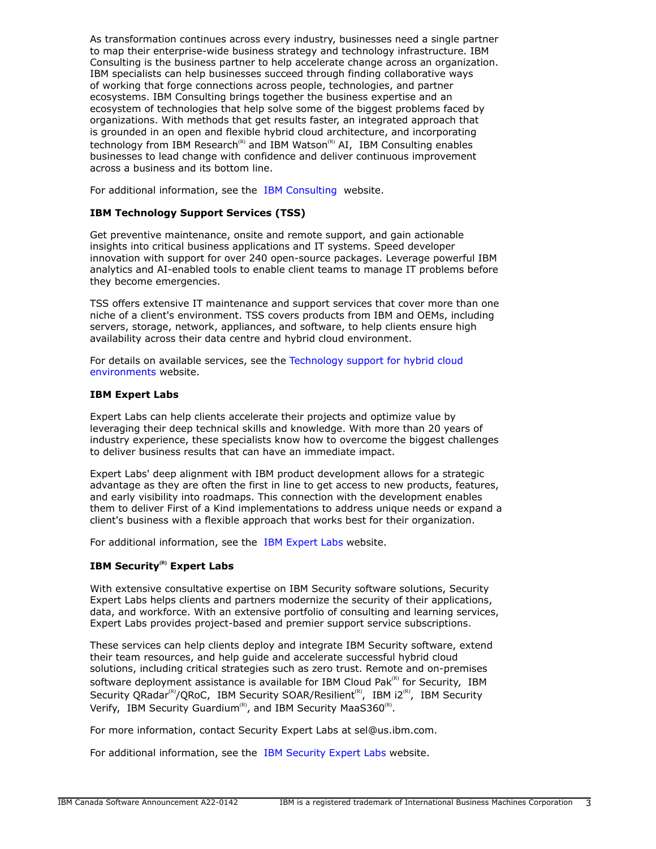As transformation continues across every industry, businesses need a single partner to map their enterprise-wide business strategy and technology infrastructure. IBM Consulting is the business partner to help accelerate change across an organization. IBM specialists can help businesses succeed through finding collaborative ways of working that forge connections across people, technologies, and partner ecosystems. IBM Consulting brings together the business expertise and an ecosystem of technologies that help solve some of the biggest problems faced by organizations. With methods that get results faster, an integrated approach that is grounded in an open and flexible hybrid cloud architecture, and incorporating technology from IBM Research<sup>(R)</sup> and IBM Watson<sup>(R)</sup> AI, IBM Consulting enables businesses to lead change with confidence and deliver continuous improvement across a business and its bottom line.

For additional information, see the [IBM Consulting](https://www.ibm.com/consulting) website.

## **IBM Technology Support Services (TSS)**

Get preventive maintenance, onsite and remote support, and gain actionable insights into critical business applications and IT systems. Speed developer innovation with support for over 240 open-source packages. Leverage powerful IBM analytics and AI-enabled tools to enable client teams to manage IT problems before they become emergencies.

TSS offers extensive IT maintenance and support services that cover more than one niche of a client's environment. TSS covers products from IBM and OEMs, including servers, storage, network, appliances, and software, to help clients ensure high availability across their data centre and hybrid cloud environment.

For details on available services, see the [Technology support for hybrid cloud](https://www.ibm.com/services/technology-support) [environments](https://www.ibm.com/services/technology-support) website.

## **IBM Expert Labs**

Expert Labs can help clients accelerate their projects and optimize value by leveraging their deep technical skills and knowledge. With more than 20 years of industry experience, these specialists know how to overcome the biggest challenges to deliver business results that can have an immediate impact.

Expert Labs' deep alignment with IBM product development allows for a strategic advantage as they are often the first in line to get access to new products, features, and early visibility into roadmaps. This connection with the development enables them to deliver First of a Kind implementations to address unique needs or expand a client's business with a flexible approach that works best for their organization.

For additional information, see the [IBM Expert Labs](https://www.ibm.com/products/expertlabs) website.

# **IBM Security(R) Expert Labs**

With extensive consultative expertise on IBM Security software solutions, Security Expert Labs helps clients and partners modernize the security of their applications, data, and workforce. With an extensive portfolio of consulting and learning services, Expert Labs provides project-based and premier support service subscriptions.

These services can help clients deploy and integrate IBM Security software, extend their team resources, and help guide and accelerate successful hybrid cloud solutions, including critical strategies such as zero trust. Remote and on-premises software deployment assistance is available for IBM Cloud Pak $R<sup>(R)</sup>$  for Security, IBM Security QRadar<sup>(R)</sup>/QRoC, IBM Security SOAR/Resilient<sup>(R)</sup>, IBM i2<sup>(R)</sup>, IBM Security Verify, IBM Security Guardium<sup>(R)</sup>, and IBM Security MaaS360<sup>(R)</sup>.

For more information, contact Security Expert Labs at sel@us.ibm.com.

For additional information, see the [IBM Security Expert Labs](https://www.ibm.com/security/security-expert-labs) website.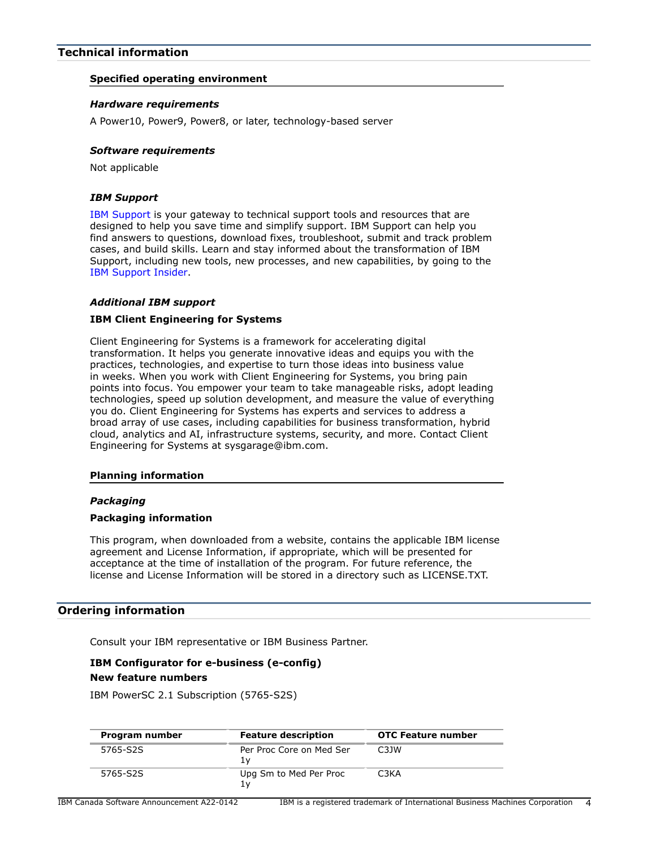## <span id="page-3-1"></span>**Technical information**

## **Specified operating environment**

#### *Hardware requirements*

A Power10, Power9, Power8, or later, technology-based server

## *Software requirements*

Not applicable

## *IBM Support*

[IBM Support](https://www.ibm.com/support) is your gateway to technical support tools and resources that are designed to help you save time and simplify support. IBM Support can help you find answers to questions, download fixes, troubleshoot, submit and track problem cases, and build skills. Learn and stay informed about the transformation of IBM Support, including new tools, new processes, and new capabilities, by going to the [IBM Support Insider](https://www.ibm.com/support/insider).

## *Additional IBM support*

## **IBM Client Engineering for Systems**

Client Engineering for Systems is a framework for accelerating digital transformation. It helps you generate innovative ideas and equips you with the practices, technologies, and expertise to turn those ideas into business value in weeks. When you work with Client Engineering for Systems, you bring pain points into focus. You empower your team to take manageable risks, adopt leading technologies, speed up solution development, and measure the value of everything you do. Client Engineering for Systems has experts and services to address a broad array of use cases, including capabilities for business transformation, hybrid cloud, analytics and AI, infrastructure systems, security, and more. Contact Client Engineering for Systems at sysgarage@ibm.com.

#### **Planning information**

#### *Packaging*

#### **Packaging information**

This program, when downloaded from a website, contains the applicable IBM license agreement and License Information, if appropriate, which will be presented for acceptance at the time of installation of the program. For future reference, the license and License Information will be stored in a directory such as LICENSE.TXT.

## <span id="page-3-0"></span>**Ordering information**

Consult your IBM representative or IBM Business Partner.

## **IBM Configurator for e-business (e-config) New feature numbers**

IBM PowerSC 2.1 Subscription (5765-S2S)

| Program number | <b>Feature description</b>     | <b>OTC Feature number</b> |
|----------------|--------------------------------|---------------------------|
| 5765-S2S       | Per Proc Core on Med Ser<br>lν | C <sub>3</sub> 1W         |
| 5765-S2S       | Upg Sm to Med Per Proc<br>1v   | C3KA                      |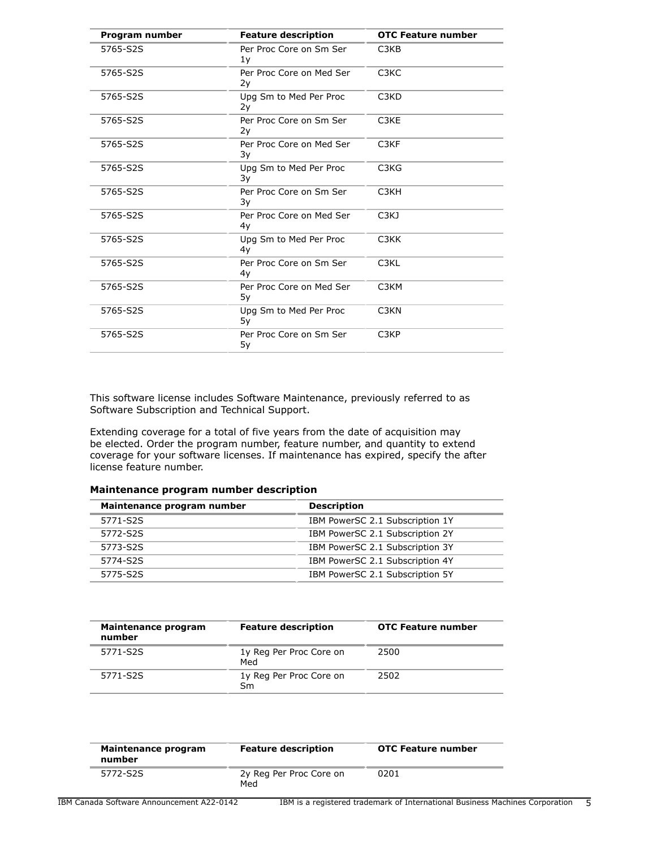| Program number | <b>Feature description</b>     | <b>OTC Feature number</b>     |
|----------------|--------------------------------|-------------------------------|
| 5765-S2S       | Per Proc Core on Sm Ser<br>1y  | C <sub>3</sub> K <sub>B</sub> |
| 5765-S2S       | Per Proc Core on Med Ser<br>2y | C <sub>3</sub> KC             |
| 5765-S2S       | Upg Sm to Med Per Proc<br>2y   | C <sub>3</sub> K <sub>D</sub> |
| 5765-S2S       | Per Proc Core on Sm Ser<br>2y  | C <sub>3</sub> KE             |
| 5765-S2S       | Per Proc Core on Med Ser<br>3y | C <sub>3</sub> KF             |
| 5765-S2S       | Upg Sm to Med Per Proc<br>3y   | C <sub>3</sub> K <sub>G</sub> |
| 5765-S2S       | Per Proc Core on Sm Ser<br>3y  | C <sub>3</sub> KH             |
| 5765-S2S       | Per Proc Core on Med Ser<br>4y | C <sub>3</sub> K <sub>J</sub> |
| 5765-S2S       | Upg Sm to Med Per Proc<br>4y   | C <sub>3</sub> KK             |
| 5765-S2S       | Per Proc Core on Sm Ser<br>4y  | C <sub>3</sub> KL             |
| 5765-S2S       | Per Proc Core on Med Ser<br>5y | C <sub>3</sub> KM             |
| 5765-S2S       | Upg Sm to Med Per Proc<br>5у   | C <sub>3</sub> K <sub>N</sub> |
| 5765-S2S       | Per Proc Core on Sm Ser<br>5y  | C <sub>3</sub> KP             |

This software license includes Software Maintenance, previously referred to as Software Subscription and Technical Support.

Extending coverage for a total of five years from the date of acquisition may be elected. Order the program number, feature number, and quantity to extend coverage for your software licenses. If maintenance has expired, specify the after license feature number.

## **Maintenance program number description**

| Maintenance program number | <b>Description</b>              |  |
|----------------------------|---------------------------------|--|
| 5771-S2S                   | IBM PowerSC 2.1 Subscription 1Y |  |
| 5772-S2S                   | IBM PowerSC 2.1 Subscription 2Y |  |
| 5773-S2S                   | IBM PowerSC 2.1 Subscription 3Y |  |
| 5774-S2S                   | IBM PowerSC 2.1 Subscription 4Y |  |
| 5775-S2S                   | IBM PowerSC 2.1 Subscription 5Y |  |

| Maintenance program<br>number | <b>Feature description</b>     | <b>OTC Feature number</b> |
|-------------------------------|--------------------------------|---------------------------|
| 5771-S2S                      | 1y Reg Per Proc Core on<br>Med | 2500                      |
| 5771-S2S                      | 1y Reg Per Proc Core on<br>Sm  | 2502                      |

| Maintenance program<br>number | <b>Feature description</b>     | <b>OTC Feature number</b> |
|-------------------------------|--------------------------------|---------------------------|
| 5772-S2S                      | 2y Reg Per Proc Core on<br>Med | 0201                      |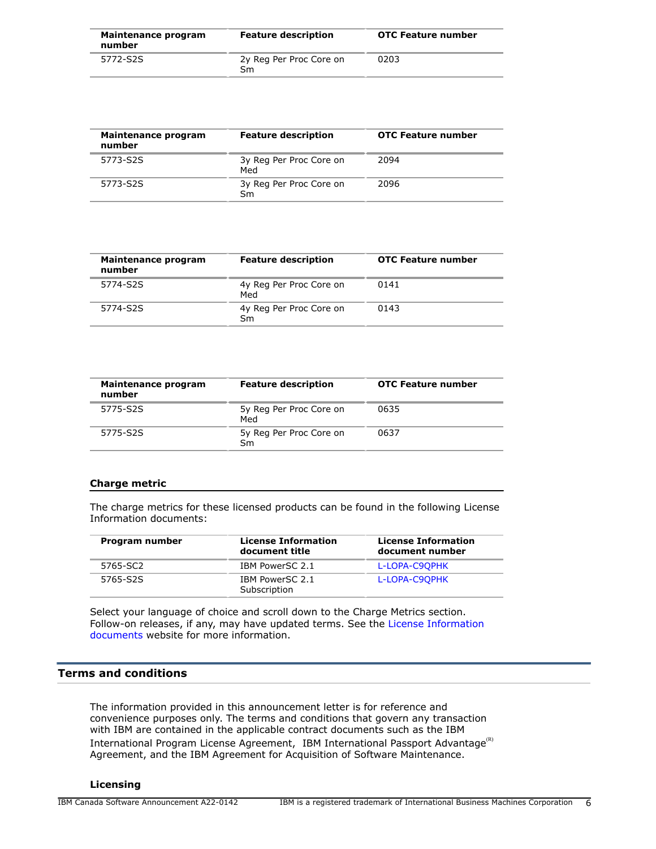| Maintenance program<br>number | <b>Feature description</b>    | <b>OTC Feature number</b> |
|-------------------------------|-------------------------------|---------------------------|
| 5772-S2S                      | 2y Reg Per Proc Core on<br>Sm | 0203                      |

| Maintenance program<br>number | <b>Feature description</b>     | <b>OTC Feature number</b> |
|-------------------------------|--------------------------------|---------------------------|
| 5773-S2S                      | 3y Reg Per Proc Core on<br>Med | 2094                      |
| 5773-S2S                      | 3y Reg Per Proc Core on<br>Sm  | 2096                      |

| Maintenance program<br>number | <b>Feature description</b>     | <b>OTC Feature number</b> |
|-------------------------------|--------------------------------|---------------------------|
| 5774-S2S                      | 4y Reg Per Proc Core on<br>Med | 0141                      |
| 5774-S2S                      | 4y Reg Per Proc Core on<br>Sm  | 0143                      |

| Maintenance program<br>number | <b>Feature description</b>     | <b>OTC Feature number</b> |
|-------------------------------|--------------------------------|---------------------------|
| 5775-S2S                      | 5y Reg Per Proc Core on<br>Med | 0635                      |
| 5775-S2S                      | 5y Reg Per Proc Core on<br>Sm  | 0637                      |

## **Charge metric**

The charge metrics for these licensed products can be found in the following License Information documents:

| Program number | <b>License Information</b><br>document title | <b>License Information</b><br>document number |
|----------------|----------------------------------------------|-----------------------------------------------|
| 5765-SC2       | IBM PowerSC 2.1                              | L-LOPA-C9OPHK                                 |
| 5765-S2S       | IBM PowerSC 2.1<br>Subscription              | L-LOPA-C9OPHK                                 |

Select your language of choice and scroll down to the Charge Metrics section. Follow-on releases, if any, may have updated terms. See the [License Information](https://www.ibm.com/software/sla/sladb.nsf/search?OpenForm) [documents](https://www.ibm.com/software/sla/sladb.nsf/search?OpenForm) website for more information.

## <span id="page-5-0"></span>**Terms and conditions**

The information provided in this announcement letter is for reference and convenience purposes only. The terms and conditions that govern any transaction with IBM are contained in the applicable contract documents such as the IBM International Program License Agreement, IBM International Passport Advantage ${}^{\textrm{\tiny(R)}}$ Agreement, and the IBM Agreement for Acquisition of Software Maintenance.

## **Licensing**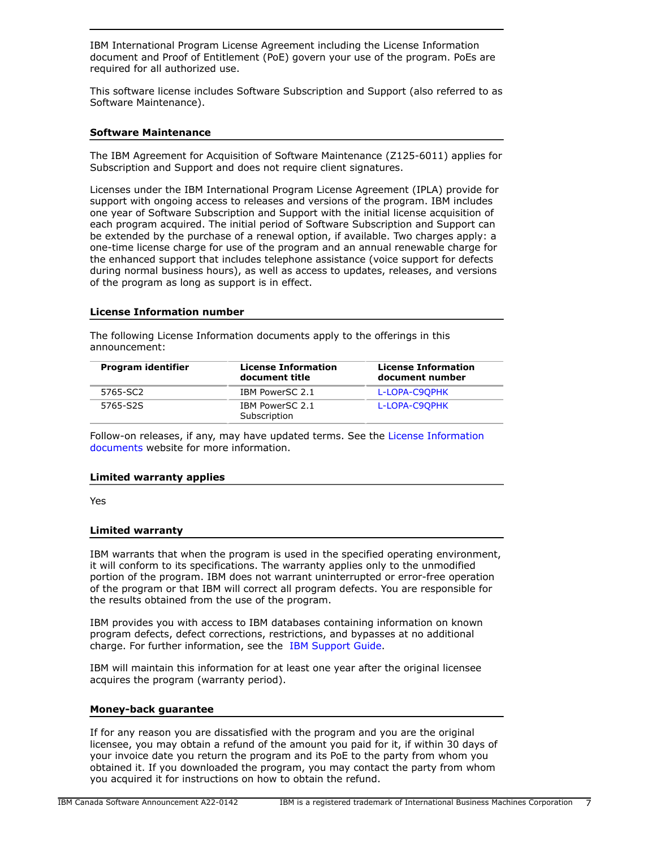IBM International Program License Agreement including the License Information document and Proof of Entitlement (PoE) govern your use of the program. PoEs are required for all authorized use.

This software license includes Software Subscription and Support (also referred to as Software Maintenance).

## **Software Maintenance**

The IBM Agreement for Acquisition of Software Maintenance (Z125-6011) applies for Subscription and Support and does not require client signatures.

Licenses under the IBM International Program License Agreement (IPLA) provide for support with ongoing access to releases and versions of the program. IBM includes one year of Software Subscription and Support with the initial license acquisition of each program acquired. The initial period of Software Subscription and Support can be extended by the purchase of a renewal option, if available. Two charges apply: a one-time license charge for use of the program and an annual renewable charge for the enhanced support that includes telephone assistance (voice support for defects during normal business hours), as well as access to updates, releases, and versions of the program as long as support is in effect.

## **License Information number**

The following License Information documents apply to the offerings in this announcement:

| Program identifier | <b>License Information</b><br>document title | <b>License Information</b><br>document number |
|--------------------|----------------------------------------------|-----------------------------------------------|
| 5765-SC2           | IBM PowerSC 2.1                              | L-LOPA-C9OPHK                                 |
| 5765-S2S           | IBM PowerSC 2.1<br>Subscription              | L-LOPA-C9OPHK                                 |

Follow-on releases, if any, may have updated terms. See the [License Information](https://www.ibm.com/software/sla/sladb.nsf/search?OpenForm) [documents](https://www.ibm.com/software/sla/sladb.nsf/search?OpenForm) website for more information.

#### **Limited warranty applies**

Yes

#### **Limited warranty**

IBM warrants that when the program is used in the specified operating environment, it will conform to its specifications. The warranty applies only to the unmodified portion of the program. IBM does not warrant uninterrupted or error-free operation of the program or that IBM will correct all program defects. You are responsible for the results obtained from the use of the program.

IBM provides you with access to IBM databases containing information on known program defects, defect corrections, restrictions, and bypasses at no additional charge. For further information, see the [IBM Support Guide](http://www.ibm.com/support/customercare/sas/f/handbook/home.html).

IBM will maintain this information for at least one year after the original licensee acquires the program (warranty period).

#### **Money-back guarantee**

If for any reason you are dissatisfied with the program and you are the original licensee, you may obtain a refund of the amount you paid for it, if within 30 days of your invoice date you return the program and its PoE to the party from whom you obtained it. If you downloaded the program, you may contact the party from whom you acquired it for instructions on how to obtain the refund.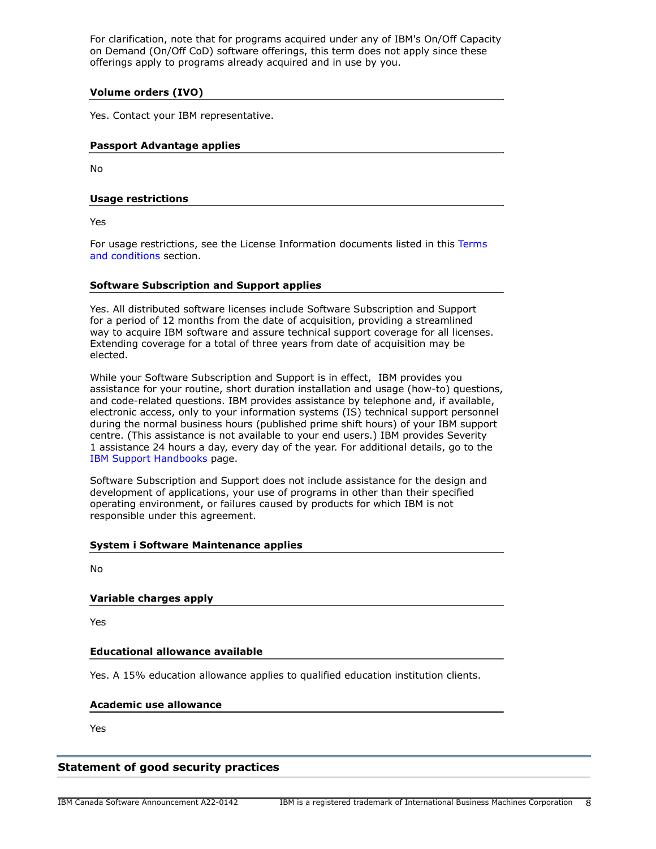For clarification, note that for programs acquired under any of IBM's On/Off Capacity on Demand (On/Off CoD) software offerings, this term does not apply since these offerings apply to programs already acquired and in use by you.

## **Volume orders (IVO)**

Yes. Contact your IBM representative.

## **Passport Advantage applies**

No

## **Usage restrictions**

Yes

For usage restrictions, see the License Information documents listed in this [Terms](#page-5-0) [and conditions](#page-5-0) section.

## **Software Subscription and Support applies**

Yes. All distributed software licenses include Software Subscription and Support for a period of 12 months from the date of acquisition, providing a streamlined way to acquire IBM software and assure technical support coverage for all licenses. Extending coverage for a total of three years from date of acquisition may be elected.

While your Software Subscription and Support is in effect, IBM provides you assistance for your routine, short duration installation and usage (how-to) questions, and code-related questions. IBM provides assistance by telephone and, if available, electronic access, only to your information systems (IS) technical support personnel during the normal business hours (published prime shift hours) of your IBM support centre. (This assistance is not available to your end users.) IBM provides Severity 1 assistance 24 hours a day, every day of the year. For additional details, go to the [IBM Support Handbooks](http://www.ibm.com/support/handbook) page.

Software Subscription and Support does not include assistance for the design and development of applications, your use of programs in other than their specified operating environment, or failures caused by products for which IBM is not responsible under this agreement.

## **System i Software Maintenance applies**

No

## **Variable charges apply**

Yes

## **Educational allowance available**

Yes. A 15% education allowance applies to qualified education institution clients.

#### **Academic use allowance**

Yes

## **Statement of good security practices**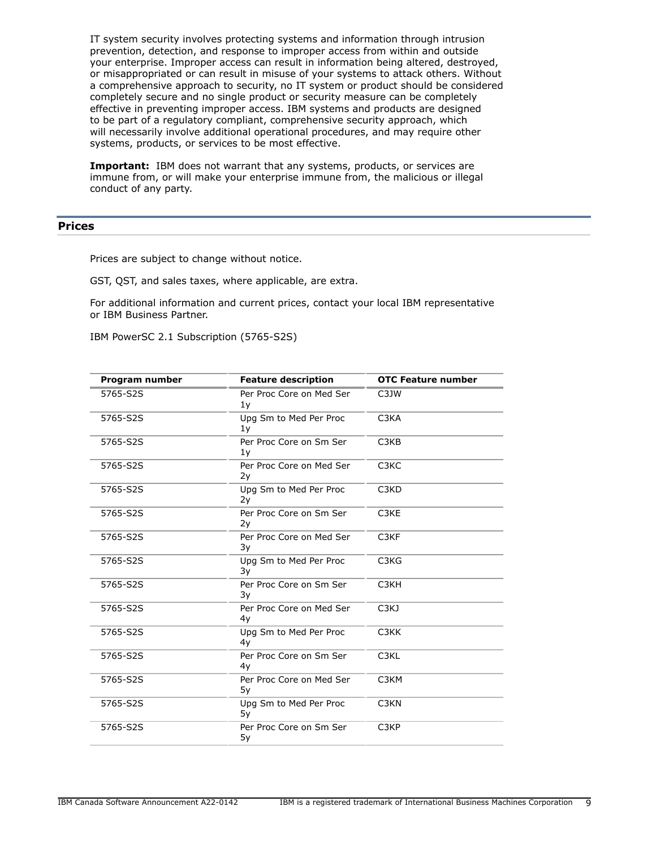IT system security involves protecting systems and information through intrusion prevention, detection, and response to improper access from within and outside your enterprise. Improper access can result in information being altered, destroyed, or misappropriated or can result in misuse of your systems to attack others. Without a comprehensive approach to security, no IT system or product should be considered completely secure and no single product or security measure can be completely effective in preventing improper access. IBM systems and products are designed to be part of a regulatory compliant, comprehensive security approach, which will necessarily involve additional operational procedures, and may require other systems, products, or services to be most effective.

**Important:** IBM does not warrant that any systems, products, or services are immune from, or will make your enterprise immune from, the malicious or illegal conduct of any party.

## <span id="page-8-0"></span>**Prices**

Prices are subject to change without notice.

GST, QST, and sales taxes, where applicable, are extra.

For additional information and current prices, contact your local IBM representative or IBM Business Partner.

IBM PowerSC 2.1 Subscription (5765-S2S)

| Program number | <b>Feature description</b>     | <b>OTC Feature number</b>     |
|----------------|--------------------------------|-------------------------------|
| 5765-S2S       | Per Proc Core on Med Ser<br>1y | C3JW                          |
| 5765-S2S       | Upg Sm to Med Per Proc<br>1y   | C <sub>3</sub> KA             |
| 5765-S2S       | Per Proc Core on Sm Ser<br>1y  | C <sub>3</sub> K <sub>B</sub> |
| 5765-S2S       | Per Proc Core on Med Ser<br>2y | C <sub>3</sub> KC             |
| 5765-S2S       | Upg Sm to Med Per Proc<br>2y   | C <sub>3</sub> K <sub>D</sub> |
| 5765-S2S       | Per Proc Core on Sm Ser<br>2y  | C3KE                          |
| 5765-S2S       | Per Proc Core on Med Ser<br>3y | C <sub>3</sub> KF             |
| 5765-S2S       | Upg Sm to Med Per Proc<br>3y   | C3KG                          |
| 5765-S2S       | Per Proc Core on Sm Ser<br>3y  | C <sub>3</sub> KH             |
| 5765-S2S       | Per Proc Core on Med Ser<br>4y | C <sub>3</sub> K <sub>J</sub> |
| 5765-S2S       | Upg Sm to Med Per Proc<br>4y   | C <sub>3</sub> KK             |
| 5765-S2S       | Per Proc Core on Sm Ser<br>4y  | C <sub>3</sub> KL             |
| 5765-S2S       | Per Proc Core on Med Ser<br>5у | C <sub>3</sub> KM             |
| 5765-S2S       | Upg Sm to Med Per Proc<br>5y   | C <sub>3</sub> KN             |
| 5765-S2S       | Per Proc Core on Sm Ser<br>5y  | C <sub>3</sub> KP             |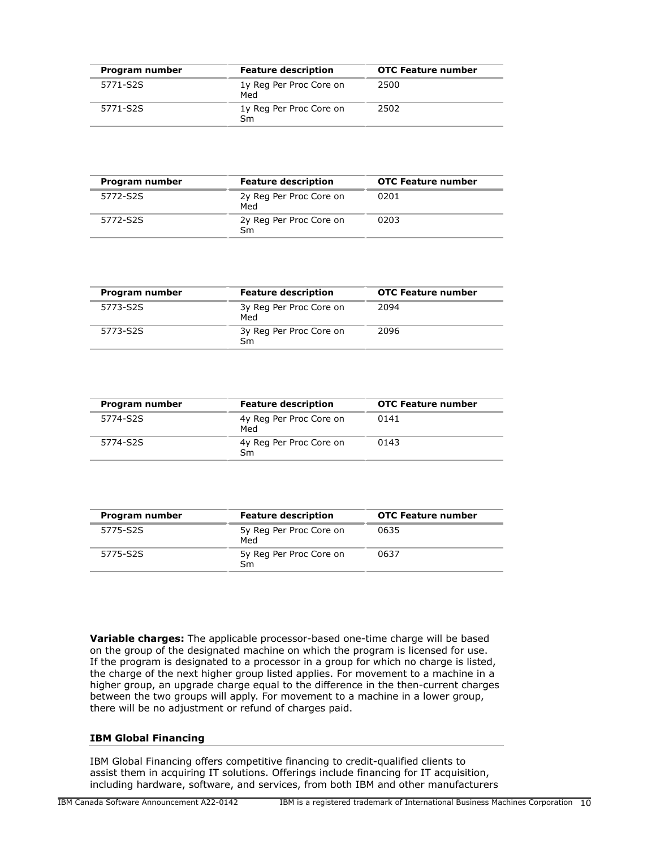| Program number | <b>Feature description</b>     | <b>OTC Feature number</b> |
|----------------|--------------------------------|---------------------------|
| 5771-S2S       | 1y Reg Per Proc Core on<br>Med | 2500                      |
| 5771-S2S       | 1y Reg Per Proc Core on<br>Sm  | 2502                      |

| Program number | <b>Feature description</b>     | <b>OTC Feature number</b> |
|----------------|--------------------------------|---------------------------|
| 5772-S2S       | 2y Reg Per Proc Core on<br>Med | 0201                      |
| 5772-S2S       | 2y Reg Per Proc Core on<br>Sm  | 0203                      |

| Program number | <b>Feature description</b>     | <b>OTC Feature number</b> |
|----------------|--------------------------------|---------------------------|
| 5773-S2S       | 3y Reg Per Proc Core on<br>Med | 2094                      |
| 5773-S2S       | 3y Reg Per Proc Core on<br>Sm  | 2096                      |

| Program number | <b>Feature description</b>     | <b>OTC Feature number</b> |
|----------------|--------------------------------|---------------------------|
| 5774-S2S       | 4y Reg Per Proc Core on<br>Med | 0141                      |
| 5774-S2S       | 4y Reg Per Proc Core on<br>Sm  | 0143                      |

| Program number | <b>Feature description</b>     | <b>OTC Feature number</b> |
|----------------|--------------------------------|---------------------------|
| 5775-S2S       | 5y Reg Per Proc Core on<br>Med | 0635                      |
| 5775-S2S       | 5y Reg Per Proc Core on<br>Sm  | 0637                      |

**Variable charges:** The applicable processor-based one-time charge will be based on the group of the designated machine on which the program is licensed for use. If the program is designated to a processor in a group for which no charge is listed, the charge of the next higher group listed applies. For movement to a machine in a higher group, an upgrade charge equal to the difference in the then-current charges between the two groups will apply. For movement to a machine in a lower group, there will be no adjustment or refund of charges paid.

## **IBM Global Financing**

IBM Global Financing offers competitive financing to credit-qualified clients to assist them in acquiring IT solutions. Offerings include financing for IT acquisition, including hardware, software, and services, from both IBM and other manufacturers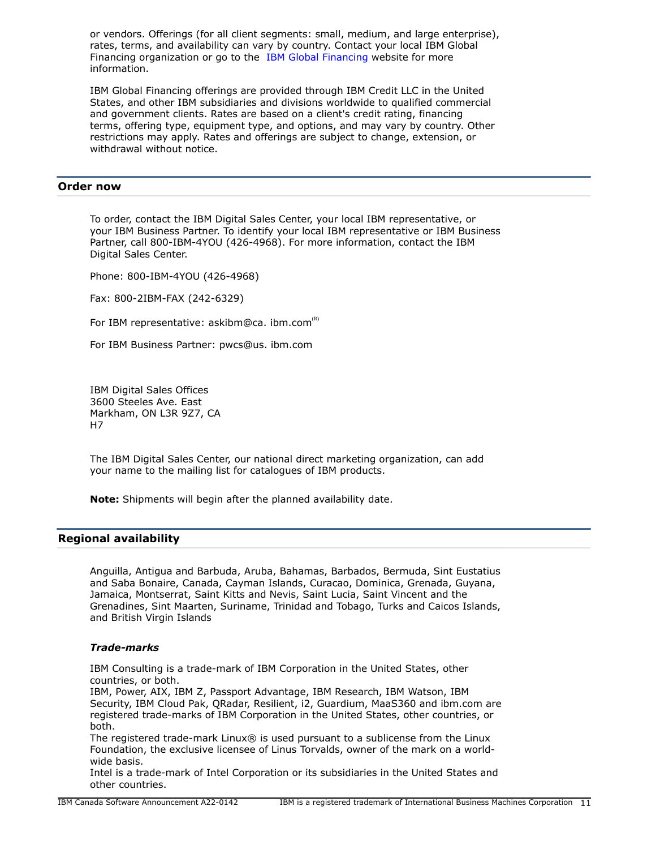or vendors. Offerings (for all client segments: small, medium, and large enterprise), rates, terms, and availability can vary by country. Contact your local IBM Global Financing organization or go to the [IBM Global Financing](http://www.ibm.com/financing) website for more information.

IBM Global Financing offerings are provided through IBM Credit LLC in the United States, and other IBM subsidiaries and divisions worldwide to qualified commercial and government clients. Rates are based on a client's credit rating, financing terms, offering type, equipment type, and options, and may vary by country. Other restrictions may apply. Rates and offerings are subject to change, extension, or withdrawal without notice.

## <span id="page-10-0"></span>**Order now**

To order, contact the IBM Digital Sales Center, your local IBM representative, or your IBM Business Partner. To identify your local IBM representative or IBM Business Partner, call 800-IBM-4YOU (426-4968). For more information, contact the IBM Digital Sales Center.

Phone: 800-IBM-4YOU (426-4968)

Fax: 800-2IBM-FAX (242-6329)

For IBM representative: askibm@ca. ibm.com<sup>(k)</sup>

For IBM Business Partner: pwcs@us. ibm.com

IBM Digital Sales Offices 3600 Steeles Ave. East Markham, ON L3R 9Z7, CA H7

The IBM Digital Sales Center, our national direct marketing organization, can add your name to the mailing list for catalogues of IBM products.

**Note:** Shipments will begin after the planned availability date.

## <span id="page-10-1"></span>**Regional availability**

Anguilla, Antigua and Barbuda, Aruba, Bahamas, Barbados, Bermuda, Sint Eustatius and Saba Bonaire, Canada, Cayman Islands, Curacao, Dominica, Grenada, Guyana, Jamaica, Montserrat, Saint Kitts and Nevis, Saint Lucia, Saint Vincent and the Grenadines, Sint Maarten, Suriname, Trinidad and Tobago, Turks and Caicos Islands, and British Virgin Islands

#### *Trade-marks*

IBM Consulting is a trade-mark of IBM Corporation in the United States, other countries, or both.

IBM, Power, AIX, IBM Z, Passport Advantage, IBM Research, IBM Watson, IBM Security, IBM Cloud Pak, QRadar, Resilient, i2, Guardium, MaaS360 and ibm.com are registered trade-marks of IBM Corporation in the United States, other countries, or both.

The registered trade-mark Linux® is used pursuant to a sublicense from the Linux Foundation, the exclusive licensee of Linus Torvalds, owner of the mark on a worldwide basis.

Intel is a trade-mark of Intel Corporation or its subsidiaries in the United States and other countries.